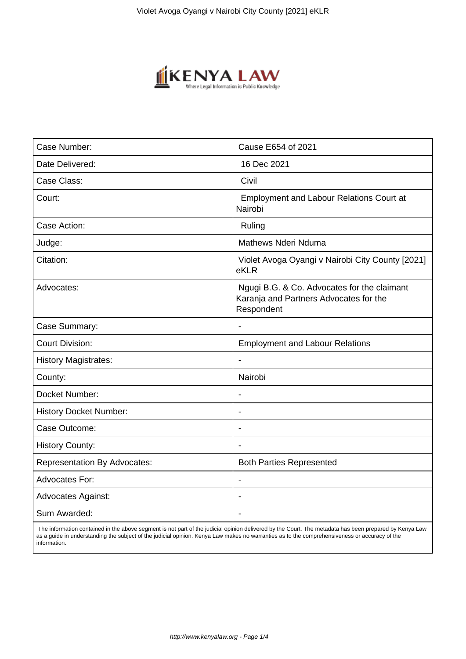

| Case Number:                        | Cause E654 of 2021                                                                                  |
|-------------------------------------|-----------------------------------------------------------------------------------------------------|
| Date Delivered:                     | 16 Dec 2021                                                                                         |
| Case Class:                         | Civil                                                                                               |
| Court:                              | <b>Employment and Labour Relations Court at</b><br>Nairobi                                          |
| Case Action:                        | Ruling                                                                                              |
| Judge:                              | <b>Mathews Nderi Nduma</b>                                                                          |
| Citation:                           | Violet Avoga Oyangi v Nairobi City County [2021]<br>eKLR                                            |
| Advocates:                          | Ngugi B.G. & Co. Advocates for the claimant<br>Karanja and Partners Advocates for the<br>Respondent |
| Case Summary:                       | $\blacksquare$                                                                                      |
| <b>Court Division:</b>              | <b>Employment and Labour Relations</b>                                                              |
| <b>History Magistrates:</b>         |                                                                                                     |
| County:                             | Nairobi                                                                                             |
| Docket Number:                      |                                                                                                     |
| <b>History Docket Number:</b>       |                                                                                                     |
| Case Outcome:                       | $\overline{\phantom{a}}$                                                                            |
| <b>History County:</b>              |                                                                                                     |
| <b>Representation By Advocates:</b> | <b>Both Parties Represented</b>                                                                     |
| <b>Advocates For:</b>               |                                                                                                     |
| <b>Advocates Against:</b>           |                                                                                                     |
| Sum Awarded:                        |                                                                                                     |

 The information contained in the above segment is not part of the judicial opinion delivered by the Court. The metadata has been prepared by Kenya Law as a guide in understanding the subject of the judicial opinion. Kenya Law makes no warranties as to the comprehensiveness or accuracy of the information.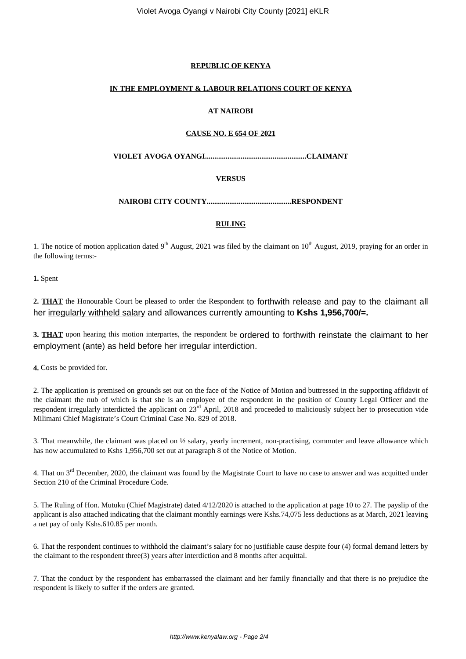## **REPUBLIC OF KENYA**

#### **IN THE EMPLOYMENT & LABOUR RELATIONS COURT OF KENYA**

# **AT NAIROBI**

## **CAUSE NO. E 654 OF 2021**

**VIOLET AVOGA OYANGI......................................................CLAIMANT**

#### **VERSUS**

**NAIROBI CITY COUNTY.............................................RESPONDENT**

#### **RULING**

1. The notice of motion application dated 9<sup>th</sup> August, 2021 was filed by the claimant on  $10^{th}$  August, 2019, praying for an order in the following terms:-

**1.** Spent

**2. THAT** the Honourable Court be pleased to order the Respondent to forthwith release and pay to the claimant all her irregularly withheld salary and allowances currently amounting to **Kshs 1,956,700/=.**

**3. THAT** upon hearing this motion interpartes, the respondent be ordered to forthwith reinstate the claimant to her employment (ante) as held before her irregular interdiction.

**4.** Costs be provided for.

2. The application is premised on grounds set out on the face of the Notice of Motion and buttressed in the supporting affidavit of the claimant the nub of which is that she is an employee of the respondent in the position of County Legal Officer and the respondent irregularly interdicted the applicant on 23<sup>rd</sup> April, 2018 and proceeded to maliciously subject her to prosecution vide Milimani Chief Magistrate's Court Criminal Case No. 829 of 2018.

3. That meanwhile, the claimant was placed on ½ salary, yearly increment, non-practising, commuter and leave allowance which has now accumulated to Kshs 1,956,700 set out at paragraph 8 of the Notice of Motion.

4. That on  $3<sup>rd</sup>$  December, 2020, the claimant was found by the Magistrate Court to have no case to answer and was acquitted under Section 210 of the Criminal Procedure Code.

5. The Ruling of Hon. Mutuku (Chief Magistrate) dated 4/12/2020 is attached to the application at page 10 to 27. The payslip of the applicant is also attached indicating that the claimant monthly earnings were Kshs.74,075 less deductions as at March, 2021 leaving a net pay of only Kshs.610.85 per month.

6. That the respondent continues to withhold the claimant's salary for no justifiable cause despite four (4) formal demand letters by the claimant to the respondent three(3) years after interdiction and 8 months after acquittal.

7. That the conduct by the respondent has embarrassed the claimant and her family financially and that there is no prejudice the respondent is likely to suffer if the orders are granted.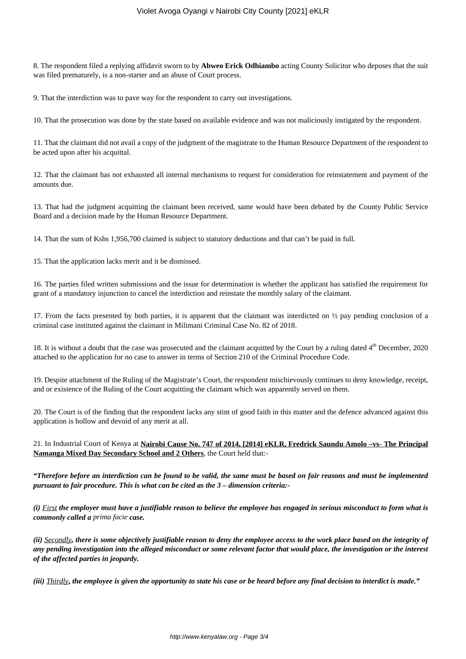8. The respondent filed a replying affidavit sworn to by **Abweo Erick Odhiambo** acting County Solicitor who deposes that the suit was filed prematurely, is a non-starter and an abuse of Court process.

9. That the interdiction was to pave way for the respondent to carry out investigations.

10. That the prosecution was done by the state based on available evidence and was not maliciously instigated by the respondent.

11. That the claimant did not avail a copy of the judgment of the magistrate to the Human Resource Department of the respondent to be acted upon after his acquittal.

12. That the claimant has not exhausted all internal mechanisms to request for consideration for reinstatement and payment of the amounts due.

13. That had the judgment acquitting the claimant been received, same would have been debated by the County Public Service Board and a decision made by the Human Resource Department.

14. That the sum of Kshs 1,956,700 claimed is subject to statutory deductions and that can't be paid in full.

15. That the application lacks merit and it be dismissed.

16. The parties filed written submissions and the issue for determination is whether the applicant has satisfied the requirement for grant of a mandatory injunction to cancel the interdiction and reinstate the monthly salary of the claimant.

17. From the facts presented by both parties, it is apparent that the claimant was interdicted on ½ pay pending conclusion of a criminal case instituted against the claimant in Milimani Criminal Case No. 82 of 2018.

18. It is without a doubt that the case was prosecuted and the claimant acquitted by the Court by a ruling dated  $4<sup>th</sup>$  December, 2020 attached to the application for no case to answer in terms of Section 210 of the Criminal Procedure Code.

19. Despite attachment of the Ruling of the Magistrate's Court, the respondent mischievously continues to deny knowledge, receipt, and or existence of the Ruling of the Court acquitting the claimant which was apparently served on them.

20. The Court is of the finding that the respondent lacks any stint of good faith in this matter and the defence advanced against this application is hollow and devoid of any merit at all.

21. In Industrial Court of Kenya at **Nairobi Cause No. 747 of 2014, [2014] eKLR, Fredrick Saundu Amolo –vs- The Principal Namanga Mixed Day Secondary School and 2 Others**, the Court held that:-

*"Therefore before an interdiction can be found to be valid, the same must be based on fair reasons and must be implemented pursuant to fair procedure. This is what can be cited as the 3 – dimension criteria:-*

*(i) First the employer must have a justifiable reason to believe the employee has engaged in serious misconduct to form what is commonly called a prima facie case.*

*(ii) Secondly, there is some objectively justifiable reason to deny the employee access to the work place based on the integrity of any pending investigation into the alleged misconduct or some relevant factor that would place, the investigation or the interest of the affected parties in jeopardy.*

*(iii) Thirdly***,** *the employee is given the opportunity to state his case or be heard before any final decision to interdict is made."*